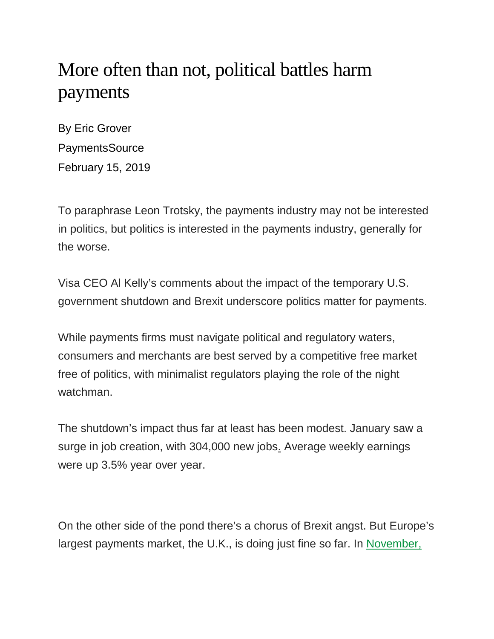## More often than not, political battles harm payments

By Eric Grover PaymentsSource February 15, 2019

To paraphrase Leon Trotsky, the payments industry may not be interested in politics, but politics is interested in the payments industry, generally for the worse.

Visa CEO Al Kelly's comments about the impact of the temporary U.S. government shutdown and Brexit underscore politics matter for payments.

While payments firms must navigate political and regulatory waters, consumers and merchants are best served by a competitive free market free of politics, with minimalist regulators playing the role of the night watchman.

The shutdown's impact thus far at least has been modest. January saw a surge in job creation, with 304,000 new jobs. Average weekly earnings were up 3.5% year over year.

On the other side of the pond there's a chorus of Brexit angst. But Europe's largest payments market, the U.K., is doing just fine so far. In [November,](https://tradingeconomics.com/united-kingdom/unemployment-rate)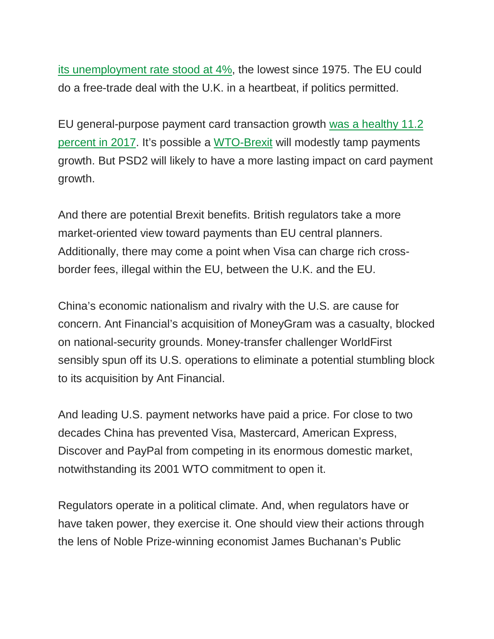[its unemployment rate stood at 4%,](https://tradingeconomics.com/united-kingdom/unemployment-rate) the lowest since 1975. The EU could do a free-trade deal with the U.K. in a heartbeat, if politics permitted.

EU general-purpose payment card transaction growth [was a healthy 11.2](https://www.ecb.europa.eu/press/pr/stats/paysec/html/ecb.pis2017.en.html)  [percent in 2017.](https://www.ecb.europa.eu/press/pr/stats/paysec/html/ecb.pis2017.en.html) It's possible a [WTO-Brexit](http://jtl.columbia.edu/brexit-is-the-wto-option-a-viable-alternative/) will modestly tamp payments growth. But PSD2 will likely to have a more lasting impact on card payment growth.

And there are potential Brexit benefits. British regulators take a more market-oriented view toward payments than EU central planners. Additionally, there may come a point when Visa can charge rich crossborder fees, illegal within the EU, between the U.K. and the EU.

China's economic nationalism and rivalry with the U.S. are cause for concern. Ant Financial's acquisition of MoneyGram was a casualty, blocked on national-security grounds. Money-transfer challenger WorldFirst sensibly spun off its U.S. operations to eliminate a potential stumbling block to its acquisition by Ant Financial.

And leading U.S. payment networks have paid a price. For close to two decades China has prevented Visa, Mastercard, American Express, Discover and PayPal from competing in its enormous domestic market, notwithstanding its 2001 WTO commitment to open it.

Regulators operate in a political climate. And, when regulators have or have taken power, they exercise it. One should view their actions through the lens of Noble Prize-winning economist James Buchanan's Public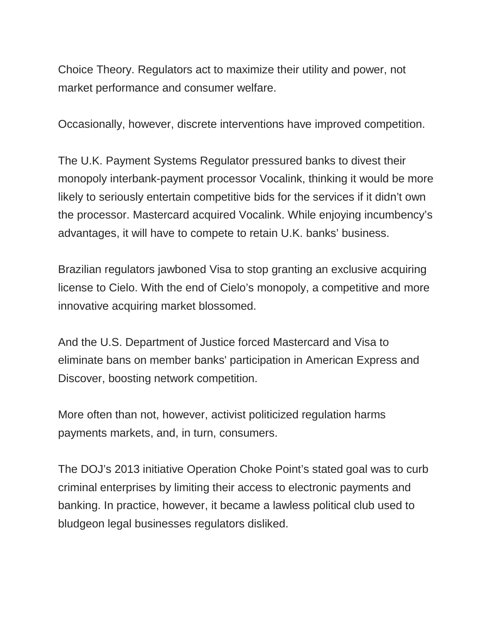Choice Theory. Regulators act to maximize their utility and power, not market performance and consumer welfare.

Occasionally, however, discrete interventions have improved competition.

The U.K. Payment Systems Regulator pressured banks to divest their monopoly interbank-payment processor Vocalink, thinking it would be more likely to seriously entertain competitive bids for the services if it didn't own the processor. Mastercard acquired Vocalink. While enjoying incumbency's advantages, it will have to compete to retain U.K. banks' business.

Brazilian regulators jawboned Visa to stop granting an exclusive acquiring license to Cielo. With the end of Cielo's monopoly, a competitive and more innovative acquiring market blossomed.

And the U.S. Department of Justice forced Mastercard and Visa to eliminate bans on member banks' participation in American Express and Discover, boosting network competition.

More often than not, however, activist politicized regulation harms payments markets, and, in turn, consumers.

The DOJ's 2013 initiative Operation Choke Point's stated goal was to curb criminal enterprises by limiting their access to electronic payments and banking. In practice, however, it became a lawless political club used to bludgeon legal businesses regulators disliked.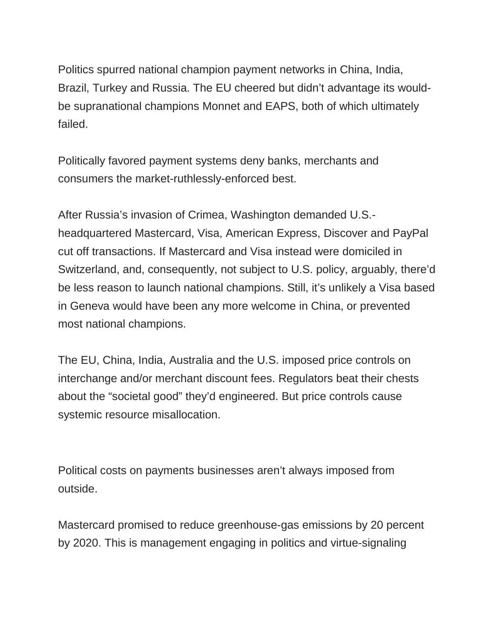Politics spurred national champion payment networks in China, India, Brazil, Turkey and Russia. The EU cheered but didn't advantage its wouldbe supranational champions Monnet and EAPS, both of which ultimately failed.

Politically favored payment systems deny banks, merchants and consumers the market-ruthlessly-enforced best.

After Russia's invasion of Crimea, Washington demanded U.S. headquartered Mastercard, Visa, American Express, Discover and PayPal cut off transactions. If Mastercard and Visa instead were domiciled in Switzerland, and, consequently, not subject to U.S. policy, arguably, there'd be less reason to launch national champions. Still, it's unlikely a Visa based in Geneva would have been any more welcome in China, or prevented most national champions.

The EU, China, India, Australia and the U.S. imposed price controls on interchange and/or merchant discount fees. Regulators beat their chests about the "societal good" they'd engineered. But price controls cause systemic resource misallocation.

Political costs on payments businesses aren't always imposed from outside.

Mastercard promised to reduce greenhouse-gas emissions by 20 percent by 2020. This is management engaging in politics and virtue-signaling